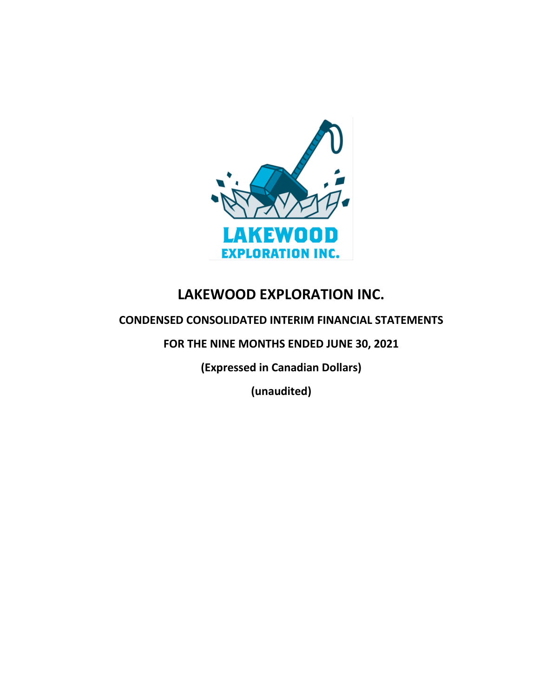

# **LAKEWOOD EXPLORATION INC.**

# **CONDENSED CONSOLIDATED INTERIM FINANCIAL STATEMENTS**

**FOR THE NINE MONTHS ENDED JUNE 30, 2021**

**(Expressed in Canadian Dollars)**

**(unaudited)**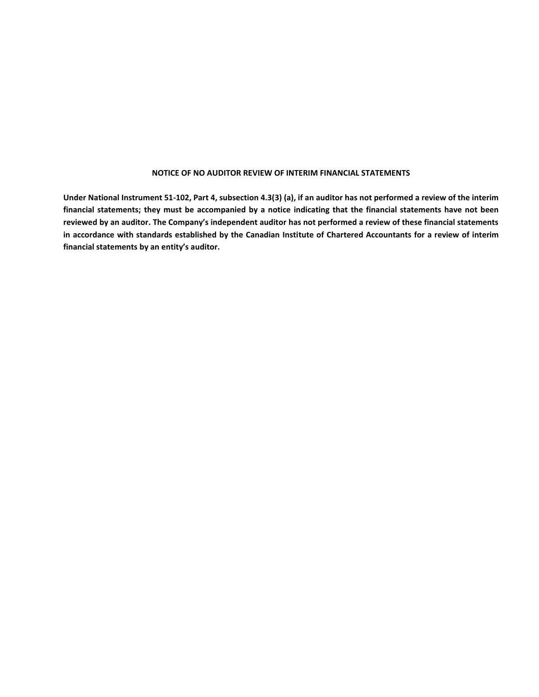#### **NOTICE OF NO AUDITOR REVIEW OF INTERIM FINANCIAL STATEMENTS**

**Under National Instrument 51-102, Part 4, subsection 4.3(3) (a), if an auditor has not performed a review of the interim financial statements; they must be accompanied by a notice indicating that the financial statements have not been reviewed by an auditor. The Company's independent auditor has not performed a review of these financial statements in accordance with standards established by the Canadian Institute of Chartered Accountants for a review of interim financial statements by an entity's auditor.**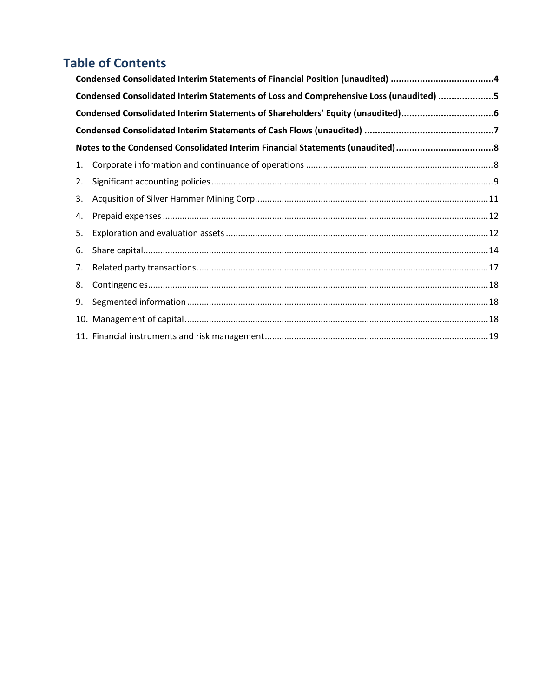# **Table of Contents**

|    | Condensed Consolidated Interim Statements of Loss and Comprehensive Loss (unaudited) 5 |  |  |  |  |  |
|----|----------------------------------------------------------------------------------------|--|--|--|--|--|
|    | Condensed Consolidated Interim Statements of Shareholders' Equity (unaudited)6         |  |  |  |  |  |
|    |                                                                                        |  |  |  |  |  |
|    | Notes to the Condensed Consolidated Interim Financial Statements (unaudited)8          |  |  |  |  |  |
| 1. |                                                                                        |  |  |  |  |  |
| 2. |                                                                                        |  |  |  |  |  |
| 3. |                                                                                        |  |  |  |  |  |
| 4. |                                                                                        |  |  |  |  |  |
| 5. |                                                                                        |  |  |  |  |  |
| 6. |                                                                                        |  |  |  |  |  |
| 7. |                                                                                        |  |  |  |  |  |
| 8. |                                                                                        |  |  |  |  |  |
| 9. |                                                                                        |  |  |  |  |  |
|    |                                                                                        |  |  |  |  |  |
|    |                                                                                        |  |  |  |  |  |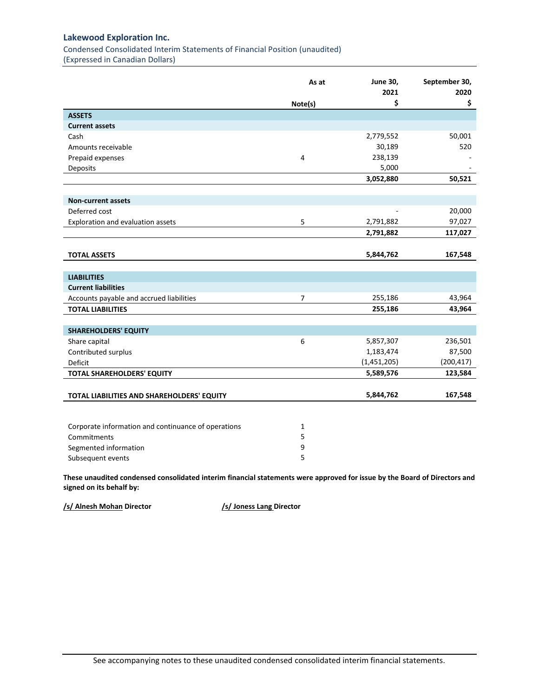<span id="page-3-0"></span>Condensed Consolidated Interim Statements of Financial Position (unaudited) (Expressed in Canadian Dollars)

|                                                                                                                           | As at   | <b>June 30,</b><br>2021 | September 30,<br>2020 |
|---------------------------------------------------------------------------------------------------------------------------|---------|-------------------------|-----------------------|
|                                                                                                                           | Note(s) | \$                      | \$                    |
| <b>ASSETS</b>                                                                                                             |         |                         |                       |
| <b>Current assets</b>                                                                                                     |         |                         |                       |
| Cash                                                                                                                      |         | 2,779,552               | 50,001                |
| Amounts receivable                                                                                                        |         | 30,189                  | 520                   |
| Prepaid expenses                                                                                                          | 4       | 238,139                 |                       |
| Deposits                                                                                                                  |         | 5,000                   |                       |
|                                                                                                                           |         | 3,052,880               | 50,521                |
|                                                                                                                           |         |                         |                       |
| <b>Non-current assets</b>                                                                                                 |         |                         |                       |
| Deferred cost                                                                                                             |         |                         | 20,000                |
| Exploration and evaluation assets                                                                                         | 5       | 2,791,882               | 97,027                |
|                                                                                                                           |         | 2,791,882               | 117,027               |
|                                                                                                                           |         |                         |                       |
| <b>TOTAL ASSETS</b>                                                                                                       |         | 5,844,762               | 167,548               |
|                                                                                                                           |         |                         |                       |
| <b>LIABILITIES</b>                                                                                                        |         |                         |                       |
| <b>Current liabilities</b>                                                                                                |         |                         |                       |
| Accounts payable and accrued liabilities                                                                                  | 7       | 255,186                 | 43,964                |
| <b>TOTAL LIABILITIES</b>                                                                                                  |         | 255,186                 | 43,964                |
|                                                                                                                           |         |                         |                       |
| <b>SHAREHOLDERS' EQUITY</b>                                                                                               |         |                         |                       |
| Share capital                                                                                                             | 6       | 5,857,307               | 236,501               |
| Contributed surplus                                                                                                       |         | 1,183,474               | 87,500                |
| Deficit                                                                                                                   |         | (1,451,205)             | (200, 417)            |
| TOTAL SHAREHOLDERS' EQUITY                                                                                                |         | 5,589,576               | 123,584               |
| TOTAL LIABILITIES AND SHAREHOLDERS' EQUITY                                                                                |         | 5,844,762               | 167,548               |
|                                                                                                                           |         |                         |                       |
| Corporate information and continuance of operations                                                                       | 1       |                         |                       |
| Commitments                                                                                                               | 5       |                         |                       |
| Segmented information                                                                                                     | 9       |                         |                       |
| Subsequent events                                                                                                         | 5       |                         |                       |
| These unaudited condensed consolidated interim financial statements were annroyed for issue by the Roard of Directors and |         |                         |                       |

**These unaudited condensed consolidated interim financial statements were approved for issue by the Board of Directors and signed on its behalf by:**

**/s/ Alnesh Mohan Director /s/ Joness Lang Director**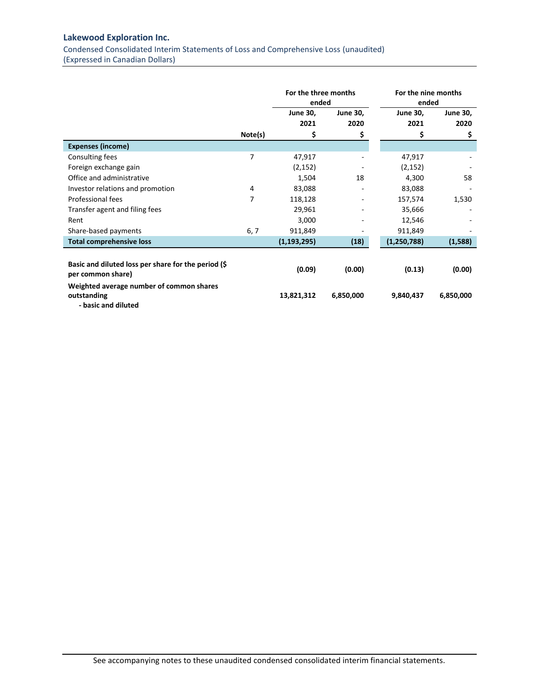<span id="page-4-0"></span>Condensed Consolidated Interim Statements of Loss and Comprehensive Loss (unaudited) (Expressed in Canadian Dollars)

|                                                                                |         | For the three months<br>ended |                              | For the nine months<br>ended |                         |
|--------------------------------------------------------------------------------|---------|-------------------------------|------------------------------|------------------------------|-------------------------|
|                                                                                |         | <b>June 30,</b><br>2021       | <b>June 30,</b><br>2020      | <b>June 30,</b><br>2021      | <b>June 30,</b><br>2020 |
|                                                                                | Note(s) | \$                            | \$                           | \$                           | \$                      |
| <b>Expenses (income)</b>                                                       |         |                               |                              |                              |                         |
| Consulting fees                                                                | 7       | 47,917                        |                              | 47,917                       |                         |
| Foreign exchange gain                                                          |         | (2, 152)                      |                              | (2, 152)                     |                         |
| Office and administrative                                                      |         | 1,504                         | 18                           | 4,300                        | 58                      |
| Investor relations and promotion                                               | 4       | 83,088                        | $\qquad \qquad \blacksquare$ | 83,088                       |                         |
| Professional fees                                                              | 7       | 118,128                       | -                            | 157,574                      | 1,530                   |
| Transfer agent and filing fees                                                 |         | 29,961                        |                              | 35,666                       |                         |
| Rent                                                                           |         | 3,000                         |                              | 12,546                       |                         |
| Share-based payments                                                           | 6, 7    | 911,849                       |                              | 911,849                      |                         |
| <b>Total comprehensive loss</b>                                                |         | (1, 193, 295)                 | (18)                         | (1,250,788)                  | (1,588)                 |
| Basic and diluted loss per share for the period (\$<br>per common share)       |         | (0.09)                        | (0.00)                       | (0.13)                       | (0.00)                  |
| Weighted average number of common shares<br>outstanding<br>- basic and diluted |         | 13,821,312                    | 6,850,000                    | 9,840,437                    | 6,850,000               |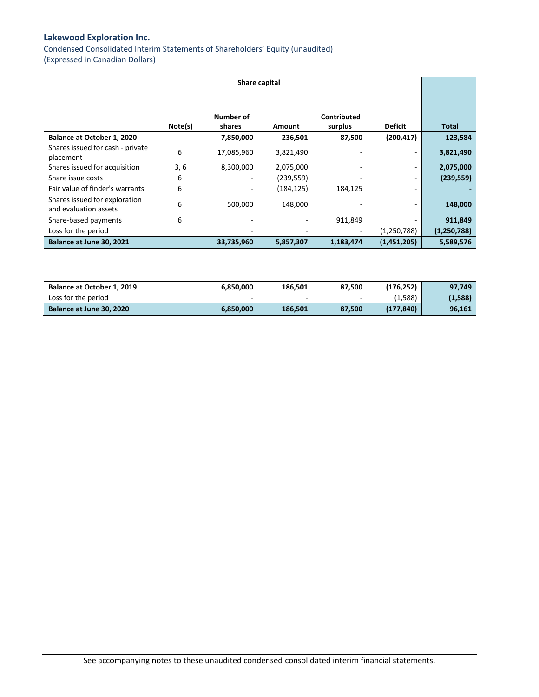<span id="page-5-0"></span>Condensed Consolidated Interim Statements of Shareholders' Equity (unaudited) (Expressed in Canadian Dollars)

|                                                        |         | Share capital       |            |                        |                          |               |
|--------------------------------------------------------|---------|---------------------|------------|------------------------|--------------------------|---------------|
|                                                        | Note(s) | Number of<br>shares | Amount     | Contributed<br>surplus | <b>Deficit</b>           | Total         |
| Balance at October 1, 2020                             |         | 7,850,000           | 236,501    | 87,500                 | (200, 417)               | 123,584       |
| Shares issued for cash - private<br>placement          | 6       | 17,085,960          | 3,821,490  |                        | $\overline{\phantom{a}}$ | 3,821,490     |
| Shares issued for acquisition                          | 3,6     | 8,300,000           | 2,075,000  |                        | ۰                        | 2,075,000     |
| Share issue costs                                      | 6       | ۰.                  | (239, 559) |                        | ۰                        | (239, 559)    |
| Fair value of finder's warrants                        | 6       |                     | (184, 125) | 184,125                | ۰                        |               |
| Shares issued for exploration<br>and evaluation assets | 6       | 500,000             | 148,000    |                        |                          | 148,000       |
| Share-based payments                                   | 6       |                     |            | 911,849                |                          | 911,849       |
| Loss for the period                                    |         |                     |            |                        | (1, 250, 788)            | (1, 250, 788) |
| Balance at June 30, 2021                               |         | 33,735,960          | 5,857,307  | 1,183,474              | (1,451,205)              | 5,589,576     |

| Balance at October 1, 2019 | 6.850.000 | 186.501                  | 87.500                   | (176.252) | 97.749  |
|----------------------------|-----------|--------------------------|--------------------------|-----------|---------|
| Loss for the period        | -         | $\overline{\phantom{a}}$ | $\overline{\phantom{a}}$ | (1,588)   | (1,588) |
| Balance at June 30, 2020   | 6.850.000 | 186.501                  | 87.500                   | (177.840) | 96,161  |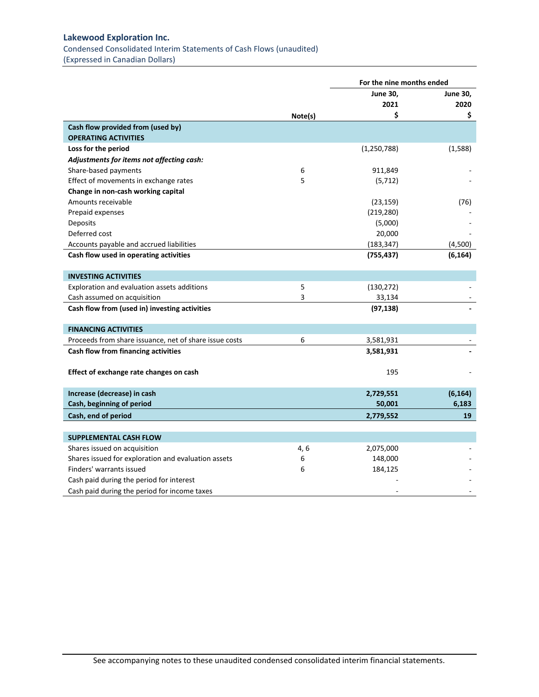<span id="page-6-0"></span>Condensed Consolidated Interim Statements of Cash Flows (unaudited)

(Expressed in Canadian Dollars)

|                                                        |         | For the nine months ended |                 |  |
|--------------------------------------------------------|---------|---------------------------|-----------------|--|
|                                                        |         | <b>June 30,</b>           | <b>June 30,</b> |  |
|                                                        |         | 2021                      | 2020            |  |
|                                                        | Note(s) | \$                        | \$              |  |
| Cash flow provided from (used by)                      |         |                           |                 |  |
| <b>OPERATING ACTIVITIES</b>                            |         |                           |                 |  |
| Loss for the period                                    |         | (1, 250, 788)             | (1,588)         |  |
| Adjustments for items not affecting cash:              |         |                           |                 |  |
| Share-based payments                                   | 6       | 911,849                   |                 |  |
| Effect of movements in exchange rates                  | 5       | (5, 712)                  |                 |  |
| Change in non-cash working capital                     |         |                           |                 |  |
| Amounts receivable                                     |         | (23, 159)                 | (76)            |  |
| Prepaid expenses                                       |         | (219, 280)                |                 |  |
| Deposits                                               |         | (5,000)                   |                 |  |
| Deferred cost                                          |         | 20,000                    |                 |  |
| Accounts payable and accrued liabilities               |         | (183, 347)                | (4,500)         |  |
| Cash flow used in operating activities                 |         | (755, 437)                | (6, 164)        |  |
|                                                        |         |                           |                 |  |
| <b>INVESTING ACTIVITIES</b>                            |         |                           |                 |  |
| Exploration and evaluation assets additions            | 5       | (130, 272)                |                 |  |
| Cash assumed on acquisition                            | 3       | 33,134                    |                 |  |
| Cash flow from (used in) investing activities          |         | (97, 138)                 |                 |  |
|                                                        |         |                           |                 |  |
| <b>FINANCING ACTIVITIES</b>                            |         |                           |                 |  |
| Proceeds from share issuance, net of share issue costs | 6       | 3,581,931                 |                 |  |
| Cash flow from financing activities                    |         | 3,581,931                 |                 |  |
|                                                        |         |                           |                 |  |
| Effect of exchange rate changes on cash                |         | 195                       |                 |  |
|                                                        |         |                           |                 |  |
| Increase (decrease) in cash                            |         | 2,729,551                 | (6, 164)        |  |
| Cash, beginning of period                              |         | 50,001                    | 6,183           |  |
| Cash, end of period                                    |         | 2,779,552                 | 19              |  |
|                                                        |         |                           |                 |  |
| <b>SUPPLEMENTAL CASH FLOW</b>                          |         |                           |                 |  |
| Shares issued on acquisition                           | 4, 6    | 2,075,000                 |                 |  |
| Shares issued for exploration and evaluation assets    | 6       | 148,000                   |                 |  |
| Finders' warrants issued                               | 6       | 184,125                   |                 |  |
| Cash paid during the period for interest               |         |                           |                 |  |
| Cash paid during the period for income taxes           |         |                           |                 |  |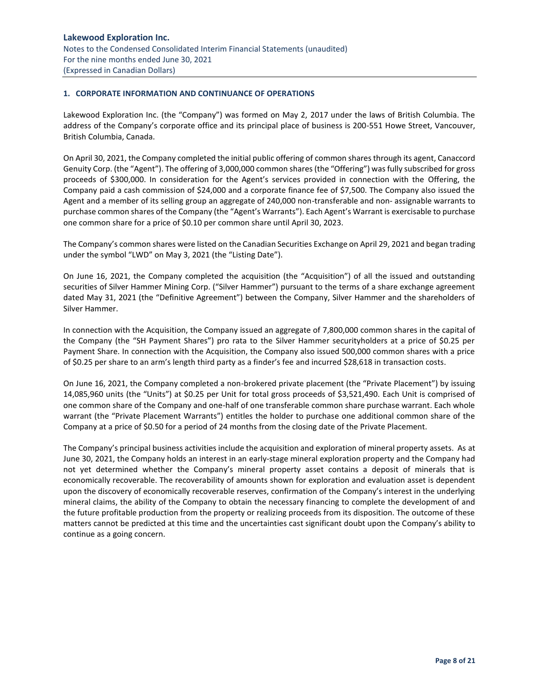# <span id="page-7-1"></span><span id="page-7-0"></span>**1. CORPORATE INFORMATION AND CONTINUANCE OF OPERATIONS**

Lakewood Exploration Inc. (the "Company") was formed on May 2, 2017 under the laws of British Columbia. The address of the Company's corporate office and its principal place of business is 200-551 Howe Street, Vancouver, British Columbia, Canada.

On April 30, 2021, the Company completed the initial public offering of common shares through its agent, Canaccord Genuity Corp. (the "Agent"). The offering of 3,000,000 common shares (the "Offering") was fully subscribed for gross proceeds of \$300,000. In consideration for the Agent's services provided in connection with the Offering, the Company paid a cash commission of \$24,000 and a corporate finance fee of \$7,500. The Company also issued the Agent and a member of its selling group an aggregate of 240,000 non-transferable and non- assignable warrants to purchase common shares of the Company (the "Agent's Warrants"). Each Agent's Warrant is exercisable to purchase one common share for a price of \$0.10 per common share until April 30, 2023.

The Company's common shares were listed on the Canadian Securities Exchange on April 29, 2021 and began trading under the symbol "LWD" on May 3, 2021 (the "Listing Date").

On June 16, 2021, the Company completed the acquisition (the "Acquisition") of all the issued and outstanding securities of Silver Hammer Mining Corp. ("Silver Hammer") pursuant to the terms of a share exchange agreement dated May 31, 2021 (the "Definitive Agreement") between the Company, Silver Hammer and the shareholders of Silver Hammer.

In connection with the Acquisition, the Company issued an aggregate of 7,800,000 common shares in the capital of the Company (the "SH Payment Shares") pro rata to the Silver Hammer securityholders at a price of \$0.25 per Payment Share. In connection with the Acquisition, the Company also issued 500,000 common shares with a price of \$0.25 per share to an arm's length third party as a finder's fee and incurred \$28,618 in transaction costs.

On June 16, 2021, the Company completed a non-brokered private placement (the "Private Placement") by issuing 14,085,960 units (the "Units") at \$0.25 per Unit for total gross proceeds of \$3,521,490. Each Unit is comprised of one common share of the Company and one-half of one transferable common share purchase warrant. Each whole warrant (the "Private Placement Warrants") entitles the holder to purchase one additional common share of the Company at a price of \$0.50 for a period of 24 months from the closing date of the Private Placement.

The Company's principal business activities include the acquisition and exploration of mineral property assets. As at June 30, 2021, the Company holds an interest in an early-stage mineral exploration property and the Company had not yet determined whether the Company's mineral property asset contains a deposit of minerals that is economically recoverable. The recoverability of amounts shown for exploration and evaluation asset is dependent upon the discovery of economically recoverable reserves, confirmation of the Company's interest in the underlying mineral claims, the ability of the Company to obtain the necessary financing to complete the development of and the future profitable production from the property or realizing proceeds from its disposition. The outcome of these matters cannot be predicted at this time and the uncertainties cast significant doubt upon the Company's ability to continue as a going concern.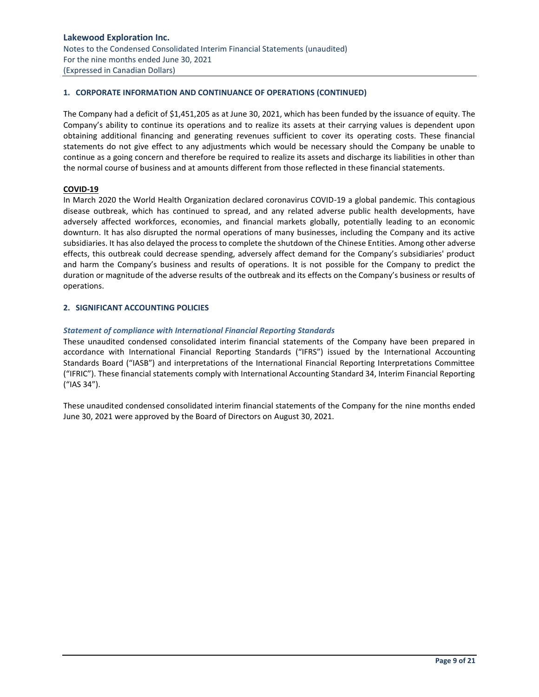# **1. CORPORATE INFORMATION AND CONTINUANCE OF OPERATIONS (CONTINUED)**

The Company had a deficit of \$1,451,205 as at June 30, 2021, which has been funded by the issuance of equity. The Company's ability to continue its operations and to realize its assets at their carrying values is dependent upon obtaining additional financing and generating revenues sufficient to cover its operating costs. These financial statements do not give effect to any adjustments which would be necessary should the Company be unable to continue as a going concern and therefore be required to realize its assets and discharge its liabilities in other than the normal course of business and at amounts different from those reflected in these financial statements.

# **COVID-19**

In March 2020 the World Health Organization declared coronavirus COVID-19 a global pandemic. This contagious disease outbreak, which has continued to spread, and any related adverse public health developments, have adversely affected workforces, economies, and financial markets globally, potentially leading to an economic downturn. It has also disrupted the normal operations of many businesses, including the Company and its active subsidiaries. It has also delayed the process to complete the shutdown of the Chinese Entities. Among other adverse effects, this outbreak could decrease spending, adversely affect demand for the Company's subsidiaries' product and harm the Company's business and results of operations. It is not possible for the Company to predict the duration or magnitude of the adverse results of the outbreak and its effects on the Company's business or results of operations.

# <span id="page-8-0"></span>**2. SIGNIFICANT ACCOUNTING POLICIES**

# *Statement of compliance with International Financial Reporting Standards*

These unaudited condensed consolidated interim financial statements of the Company have been prepared in accordance with International Financial Reporting Standards ("IFRS") issued by the International Accounting Standards Board ("IASB") and interpretations of the International Financial Reporting Interpretations Committee ("IFRIC"). These financial statements comply with International Accounting Standard 34, Interim Financial Reporting ("IAS 34").

These unaudited condensed consolidated interim financial statements of the Company for the nine months ended June 30, 2021 were approved by the Board of Directors on August 30, 2021.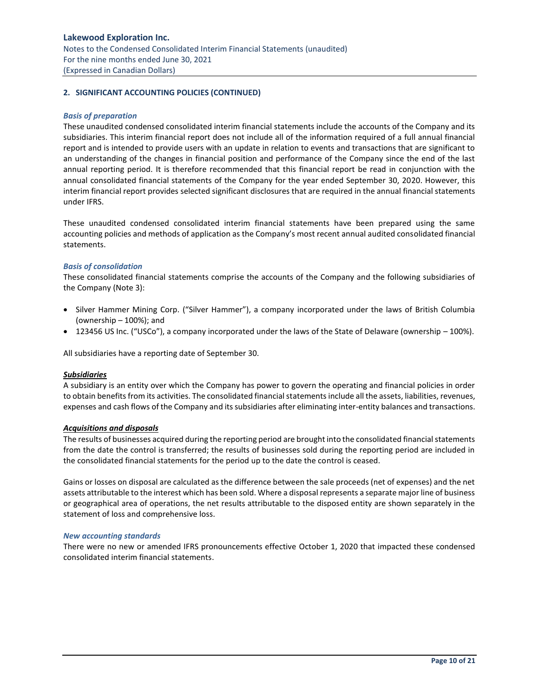# **Lakewood Exploration Inc.** Notes to the Condensed Consolidated Interim Financial Statements (unaudited) For the nine months ended June 30, 2021 (Expressed in Canadian Dollars)

# **2. SIGNIFICANT ACCOUNTING POLICIES (CONTINUED)**

#### *Basis of preparation*

These unaudited condensed consolidated interim financial statements include the accounts of the Company and its subsidiaries. This interim financial report does not include all of the information required of a full annual financial report and is intended to provide users with an update in relation to events and transactions that are significant to an understanding of the changes in financial position and performance of the Company since the end of the last annual reporting period. It is therefore recommended that this financial report be read in conjunction with the annual consolidated financial statements of the Company for the year ended September 30, 2020. However, this interim financial report provides selected significant disclosures that are required in the annual financial statements under IFRS.

These unaudited condensed consolidated interim financial statements have been prepared using the same accounting policies and methods of application as the Company's most recent annual audited consolidated financial statements.

#### *Basis of consolidation*

These consolidated financial statements comprise the accounts of the Company and the following subsidiaries of the Company (Note 3):

- Silver Hammer Mining Corp. ("Silver Hammer"), a company incorporated under the laws of British Columbia (ownership – 100%); and
- 123456 US Inc. ("USCo"), a company incorporated under the laws of the State of Delaware (ownership 100%).

All subsidiaries have a reporting date of September 30.

#### *Subsidiaries*

A subsidiary is an entity over which the Company has power to govern the operating and financial policies in order to obtain benefits from its activities. The consolidated financial statements include all the assets, liabilities, revenues, expenses and cash flows of the Company and its subsidiaries after eliminating inter-entity balances and transactions.

#### *Acquisitions and disposals*

The results of businesses acquired during the reporting period are brought into the consolidated financial statements from the date the control is transferred; the results of businesses sold during the reporting period are included in the consolidated financial statements for the period up to the date the control is ceased.

Gains or losses on disposal are calculated as the difference between the sale proceeds (net of expenses) and the net assets attributable to the interest which has been sold. Where a disposal represents a separate major line of business or geographical area of operations, the net results attributable to the disposed entity are shown separately in the statement of loss and comprehensive loss.

#### *New accounting standards*

There were no new or amended IFRS pronouncements effective October 1, 2020 that impacted these condensed consolidated interim financial statements.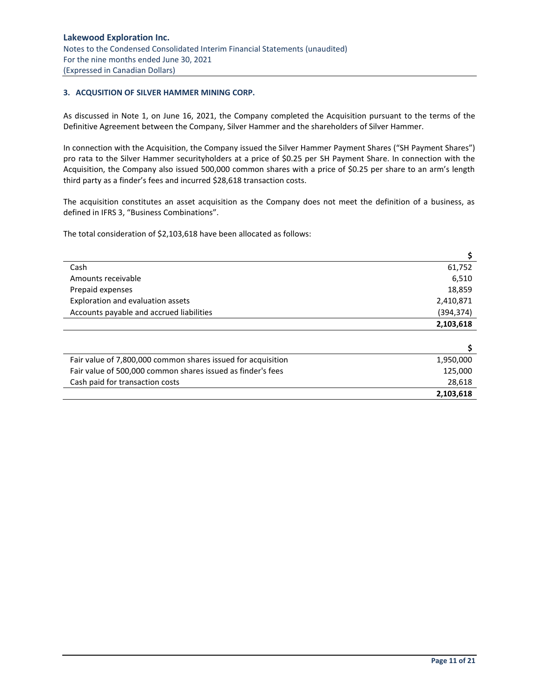# <span id="page-10-0"></span>**3. ACQUSITION OF SILVER HAMMER MINING CORP.**

As discussed in Note 1, on June 16, 2021, the Company completed the Acquisition pursuant to the terms of the Definitive Agreement between the Company, Silver Hammer and the shareholders of Silver Hammer.

In connection with the Acquisition, the Company issued the Silver Hammer Payment Shares ("SH Payment Shares") pro rata to the Silver Hammer securityholders at a price of \$0.25 per SH Payment Share. In connection with the Acquisition, the Company also issued 500,000 common shares with a price of \$0.25 per share to an arm's length third party as a finder's fees and incurred \$28,618 transaction costs.

The acquisition constitutes an asset acquisition as the Company does not meet the definition of a business, as defined in IFRS 3, "Business Combinations".

The total consideration of \$2,103,618 have been allocated as follows:

| Cash                                                         | 61,752    |
|--------------------------------------------------------------|-----------|
| Amounts receivable                                           | 6,510     |
| Prepaid expenses                                             | 18,859    |
| Exploration and evaluation assets                            | 2,410,871 |
| Accounts payable and accrued liabilities                     | (394,374) |
|                                                              | 2,103,618 |
|                                                              |           |
|                                                              |           |
| Fair value of 7,800,000 common shares issued for acquisition | 1,950,000 |
| Fair value of 500,000 common shares issued as finder's fees  | 125,000   |
| Cash paid for transaction costs                              | 28,618    |
|                                                              | 2,103,618 |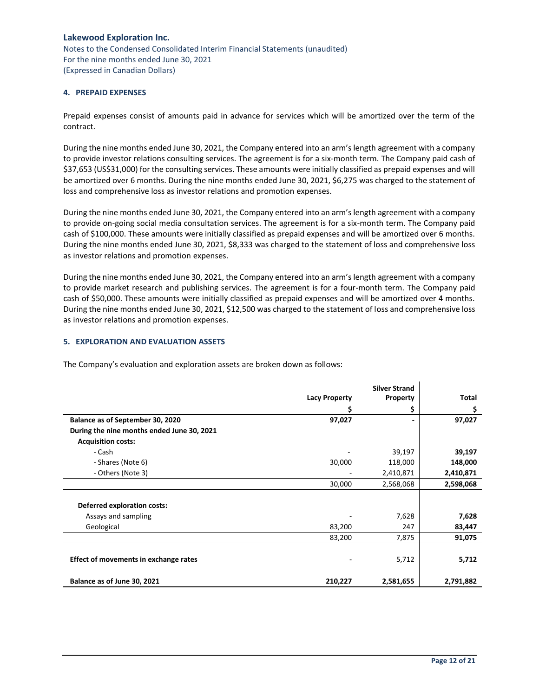# <span id="page-11-0"></span>**4. PREPAID EXPENSES**

Prepaid expenses consist of amounts paid in advance for services which will be amortized over the term of the contract.

During the nine months ended June 30, 2021, the Company entered into an arm's length agreement with a company to provide investor relations consulting services. The agreement is for a six-month term. The Company paid cash of \$37,653 (US\$31,000) for the consulting services. These amounts were initially classified as prepaid expenses and will be amortized over 6 months. During the nine months ended June 30, 2021, \$6,275 was charged to the statement of loss and comprehensive loss as investor relations and promotion expenses.

During the nine months ended June 30, 2021, the Company entered into an arm's length agreement with a company to provide on-going social media consultation services. The agreement is for a six-month term. The Company paid cash of \$100,000. These amounts were initially classified as prepaid expenses and will be amortized over 6 months. During the nine months ended June 30, 2021, \$8,333 was charged to the statement of loss and comprehensive loss as investor relations and promotion expenses.

During the nine months ended June 30, 2021, the Company entered into an arm's length agreement with a company to provide market research and publishing services. The agreement is for a four-month term. The Company paid cash of \$50,000. These amounts were initially classified as prepaid expenses and will be amortized over 4 months. During the nine months ended June 30, 2021, \$12,500 was charged to the statement of loss and comprehensive loss as investor relations and promotion expenses.

# <span id="page-11-1"></span>**5. EXPLORATION AND EVALUATION ASSETS**

The Company's evaluation and exploration assets are broken down as follows:

|                                            | <b>Silver Strand</b> |           |           |  |
|--------------------------------------------|----------------------|-----------|-----------|--|
|                                            | <b>Lacy Property</b> | Property  | Total     |  |
|                                            |                      | \$        | Ş         |  |
| Balance as of September 30, 2020           | 97,027               |           | 97,027    |  |
| During the nine months ended June 30, 2021 |                      |           |           |  |
| <b>Acquisition costs:</b>                  |                      |           |           |  |
| - Cash                                     |                      | 39,197    | 39,197    |  |
| - Shares (Note 6)                          | 30,000               | 118,000   | 148,000   |  |
| - Others (Note 3)                          |                      | 2,410,871 | 2,410,871 |  |
|                                            | 30,000               | 2,568,068 | 2,598,068 |  |
| <b>Deferred exploration costs:</b>         |                      |           |           |  |
| Assays and sampling                        |                      | 7,628     | 7,628     |  |
| Geological                                 | 83,200               | 247       | 83,447    |  |
|                                            | 83,200               | 7,875     | 91,075    |  |
|                                            |                      |           |           |  |
| Effect of movements in exchange rates      |                      | 5,712     | 5,712     |  |
| Balance as of June 30, 2021                | 210,227              | 2,581,655 | 2,791,882 |  |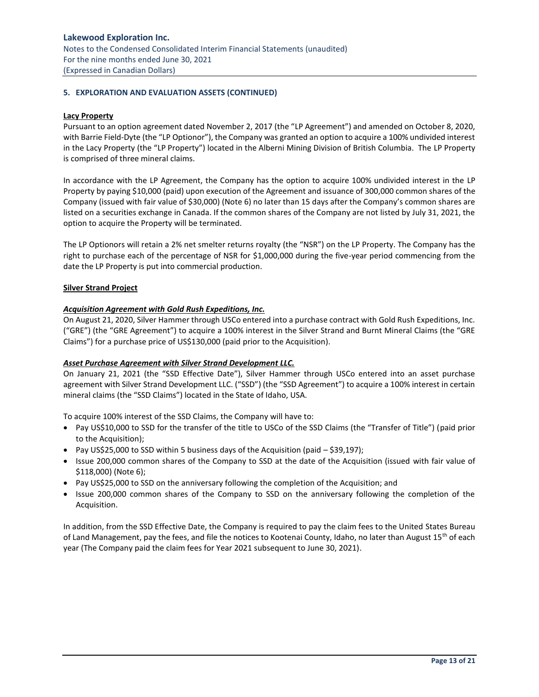# **5. EXPLORATION AND EVALUATION ASSETS (CONTINUED)**

#### **Lacy Property**

Pursuant to an option agreement dated November 2, 2017 (the "LP Agreement") and amended on October 8, 2020, with Barrie Field-Dyte (the "LP Optionor"), the Company was granted an option to acquire a 100% undivided interest in the Lacy Property (the "LP Property") located in the Alberni Mining Division of British Columbia. The LP Property is comprised of three mineral claims.

In accordance with the LP Agreement, the Company has the option to acquire 100% undivided interest in the LP Property by paying \$10,000 (paid) upon execution of the Agreement and issuance of 300,000 common shares of the Company (issued with fair value of \$30,000) (Note 6) no later than 15 days after the Company's common shares are listed on a securities exchange in Canada. If the common shares of the Company are not listed by July 31, 2021, the option to acquire the Property will be terminated.

The LP Optionors will retain a 2% net smelter returns royalty (the "NSR") on the LP Property. The Company has the right to purchase each of the percentage of NSR for \$1,000,000 during the five-year period commencing from the date the LP Property is put into commercial production.

## **Silver Strand Project**

# *Acquisition Agreement with Gold Rush Expeditions, Inc.*

On August 21, 2020, Silver Hammer through USCo entered into a purchase contract with Gold Rush Expeditions, Inc. ("GRE") (the "GRE Agreement") to acquire a 100% interest in the Silver Strand and Burnt Mineral Claims (the "GRE Claims") for a purchase price of US\$130,000 (paid prior to the Acquisition).

## *Asset Purchase Agreement with Silver Strand Development LLC.*

On January 21, 2021 (the "SSD Effective Date"), Silver Hammer through USCo entered into an asset purchase agreement with Silver Strand Development LLC. ("SSD") (the "SSD Agreement") to acquire a 100% interest in certain mineral claims (the "SSD Claims") located in the State of Idaho, USA.

To acquire 100% interest of the SSD Claims, the Company will have to:

- Pay US\$10,000 to SSD for the transfer of the title to USCo of the SSD Claims (the "Transfer of Title") (paid prior to the Acquisition);
- Pay US\$25,000 to SSD within 5 business days of the Acquisition (paid \$39,197);
- Issue 200,000 common shares of the Company to SSD at the date of the Acquisition (issued with fair value of \$118,000) (Note 6);
- Pay US\$25,000 to SSD on the anniversary following the completion of the Acquisition; and
- Issue 200,000 common shares of the Company to SSD on the anniversary following the completion of the Acquisition.

In addition, from the SSD Effective Date, the Company is required to pay the claim fees to the United States Bureau of Land Management, pay the fees, and file the notices to Kootenai County, Idaho, no later than August 15<sup>th</sup> of each year (The Company paid the claim fees for Year 2021 subsequent to June 30, 2021).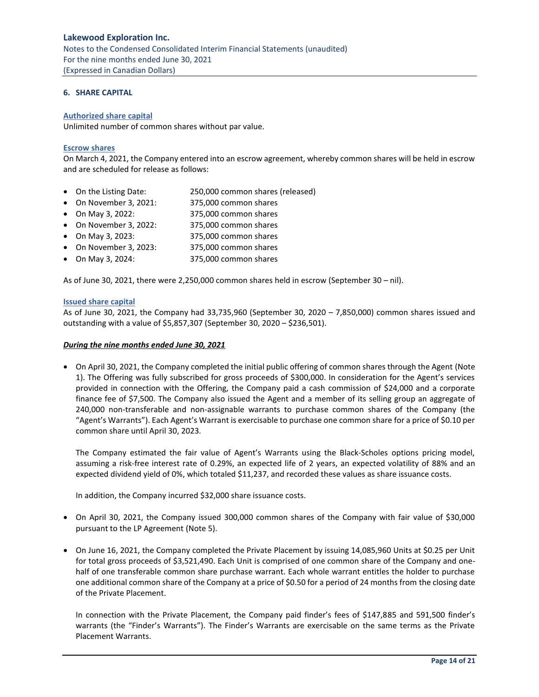Notes to the Condensed Consolidated Interim Financial Statements (unaudited) For the nine months ended June 30, 2021 (Expressed in Canadian Dollars)

# <span id="page-13-0"></span>**6. SHARE CAPITAL**

#### **Authorized share capital**

Unlimited number of common shares without par value.

#### **Escrow shares**

On March 4, 2021, the Company entered into an escrow agreement, whereby common shares will be held in escrow and are scheduled for release as follows:

- On the Listing Date: 250,000 common shares (released)
- On November 3, 2021: 375,000 common shares
- On May 3, 2022: 375,000 common shares
- On November 3, 2022: 375,000 common shares
- On May 3, 2023: 375,000 common shares
- On November 3, 2023: 375,000 common shares
- On May 3, 2024: 375,000 common shares

As of June 30, 2021, there were 2,250,000 common shares held in escrow (September 30 – nil).

## **Issued share capital**

As of June 30, 2021, the Company had 33,735,960 (September 30, 2020 – 7,850,000) common shares issued and outstanding with a value of \$5,857,307 (September 30, 2020 – \$236,501).

#### *During the nine months ended June 30, 2021*

• On April 30, 2021, the Company completed the initial public offering of common shares through the Agent (Note 1). The Offering was fully subscribed for gross proceeds of \$300,000. In consideration for the Agent's services provided in connection with the Offering, the Company paid a cash commission of \$24,000 and a corporate finance fee of \$7,500. The Company also issued the Agent and a member of its selling group an aggregate of 240,000 non-transferable and non-assignable warrants to purchase common shares of the Company (the "Agent's Warrants"). Each Agent's Warrant is exercisable to purchase one common share for a price of \$0.10 per common share until April 30, 2023.

The Company estimated the fair value of Agent's Warrants using the Black‐Scholes options pricing model, assuming a risk‐free interest rate of 0.29%, an expected life of 2 years, an expected volatility of 88% and an expected dividend yield of 0%, which totaled \$11,237, and recorded these values as share issuance costs.

In addition, the Company incurred \$32,000 share issuance costs.

- On April 30, 2021, the Company issued 300,000 common shares of the Company with fair value of \$30,000 pursuant to the LP Agreement (Note 5).
- On June 16, 2021, the Company completed the Private Placement by issuing 14,085,960 Units at \$0.25 per Unit for total gross proceeds of \$3,521,490. Each Unit is comprised of one common share of the Company and onehalf of one transferable common share purchase warrant. Each whole warrant entitles the holder to purchase one additional common share of the Company at a price of \$0.50 for a period of 24 months from the closing date of the Private Placement.

In connection with the Private Placement, the Company paid finder's fees of \$147,885 and 591,500 finder's warrants (the "Finder's Warrants"). The Finder's Warrants are exercisable on the same terms as the Private Placement Warrants.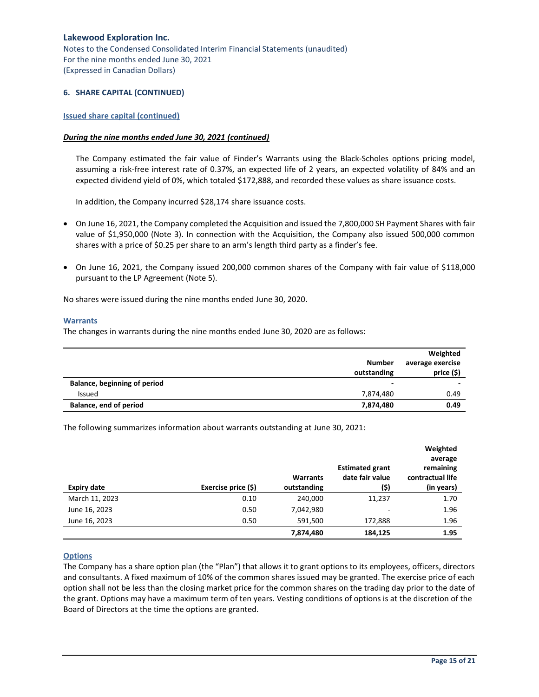## **6. SHARE CAPITAL (CONTINUED)**

#### **Issued share capital (continued)**

#### *During the nine months ended June 30, 2021 (continued)*

The Company estimated the fair value of Finder's Warrants using the Black‐Scholes options pricing model, assuming a risk‐free interest rate of 0.37%, an expected life of 2 years, an expected volatility of 84% and an expected dividend yield of 0%, which totaled \$172,888, and recorded these values as share issuance costs.

In addition, the Company incurred \$28,174 share issuance costs.

- On June 16, 2021, the Company completed the Acquisition and issued the 7,800,000 SH Payment Shares with fair value of \$1,950,000 (Note 3). In connection with the Acquisition, the Company also issued 500,000 common shares with a price of \$0.25 per share to an arm's length third party as a finder's fee.
- On June 16, 2021, the Company issued 200,000 common shares of the Company with fair value of \$118,000 pursuant to the LP Agreement (Note 5).

No shares were issued during the nine months ended June 30, 2020.

#### **Warrants**

The changes in warrants during the nine months ended June 30, 2020 are as follows:

|                                     | <b>Number</b><br>outstanding | Weighted<br>average exercise<br>price (\$) |
|-------------------------------------|------------------------------|--------------------------------------------|
| <b>Balance, beginning of period</b> | -                            |                                            |
| Issued                              | 7,874,480                    | 0.49                                       |
| Balance, end of period              | 7,874,480                    | 0.49                                       |

The following summarizes information about warrants outstanding at June 30, 2021:

| <b>Expiry date</b> | Exercise price (\$) | <b>Warrants</b><br>outstanding | <b>Estimated grant</b><br>date fair value<br>(\$) | Weighted<br>average<br>remaining<br>contractual life<br>(in years) |
|--------------------|---------------------|--------------------------------|---------------------------------------------------|--------------------------------------------------------------------|
| March 11, 2023     | 0.10                | 240,000                        | 11,237                                            | 1.70                                                               |
| June 16, 2023      | 0.50                | 7,042,980                      | -                                                 | 1.96                                                               |
| June 16, 2023      | 0.50                | 591,500                        | 172,888                                           | 1.96                                                               |
|                    |                     | 7,874,480                      | 184,125                                           | 1.95                                                               |

## **Options**

The Company has a share option plan (the "Plan") that allows it to grant options to its employees, officers, directors and consultants. A fixed maximum of 10% of the common shares issued may be granted. The exercise price of each option shall not be less than the closing market price for the common shares on the trading day prior to the date of the grant. Options may have a maximum term of ten years. Vesting conditions of options is at the discretion of the Board of Directors at the time the options are granted.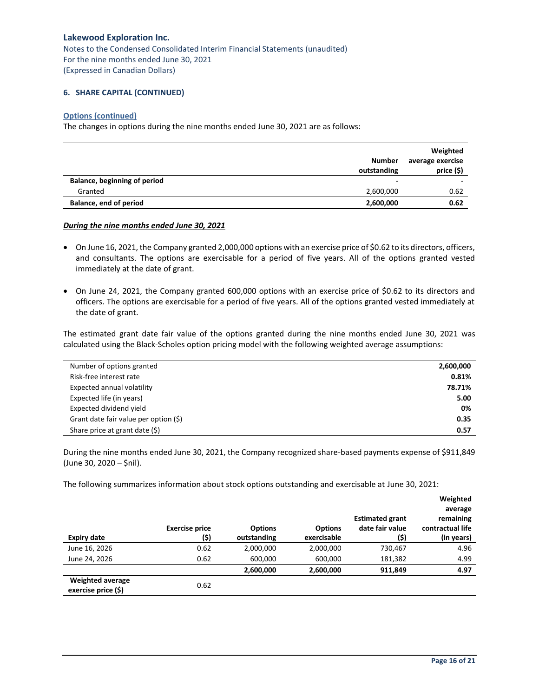# **6. SHARE CAPITAL (CONTINUED)**

#### **Options (continued)**

The changes in options during the nine months ended June 30, 2021 are as follows:

|                               | <b>Number</b><br>outstanding | Weighted<br>average exercise<br>price (\$) |
|-------------------------------|------------------------------|--------------------------------------------|
| Balance, beginning of period  | $\overline{\phantom{0}}$     | $\overline{\phantom{a}}$                   |
| Granted                       | 2,600,000                    | 0.62                                       |
| <b>Balance, end of period</b> | 2,600,000                    | 0.62                                       |

*During the nine months ended June 30, 2021*

- On June 16, 2021, the Company granted 2,000,000 options with an exercise price of \$0.62 to its directors, officers, and consultants. The options are exercisable for a period of five years. All of the options granted vested immediately at the date of grant.
- On June 24, 2021, the Company granted 600,000 options with an exercise price of \$0.62 to its directors and officers. The options are exercisable for a period of five years. All of the options granted vested immediately at the date of grant.

The estimated grant date fair value of the options granted during the nine months ended June 30, 2021 was calculated using the Black‐Scholes option pricing model with the following weighted average assumptions:

| Number of options granted                | 2,600,000 |
|------------------------------------------|-----------|
| Risk-free interest rate                  | 0.81%     |
| Expected annual volatility               | 78.71%    |
| Expected life (in years)                 | 5.00      |
| Expected dividend yield                  | 0%        |
| Grant date fair value per option $(\xi)$ | 0.35      |
| Share price at grant date (\$)           | 0.57      |

During the nine months ended June 30, 2021, the Company recognized share-based payments expense of \$911,849 (June 30, 2020 – \$nil).

The following summarizes information about stock options outstanding and exercisable at June 30, 2021:

| <b>Expiry date</b>                             | <b>Exercise price</b><br>(\$) | <b>Options</b><br>outstanding | <b>Options</b><br>exercisable | <b>Estimated grant</b><br>date fair value<br>(\$) | Weighted<br>average<br>remaining<br>contractual life<br>(in years) |
|------------------------------------------------|-------------------------------|-------------------------------|-------------------------------|---------------------------------------------------|--------------------------------------------------------------------|
| June 16, 2026                                  | 0.62                          | 2,000,000                     | 2,000,000                     | 730,467                                           | 4.96                                                               |
| June 24, 2026                                  | 0.62                          | 600,000                       | 600,000                       | 181,382                                           | 4.99                                                               |
|                                                |                               | 2,600,000                     | 2,600,000                     | 911,849                                           | 4.97                                                               |
| <b>Weighted average</b><br>exercise price (\$) | 0.62                          |                               |                               |                                                   |                                                                    |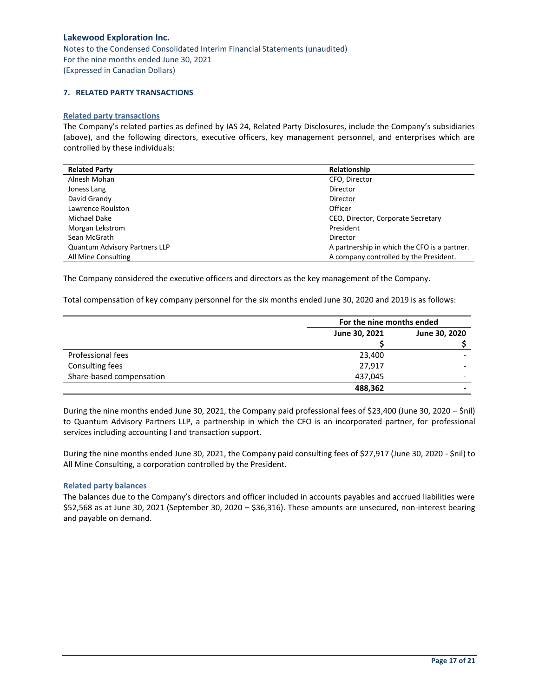# <span id="page-16-0"></span>**7. RELATED PARTY TRANSACTIONS**

# **Related party transactions**

The Company's related parties as defined by IAS 24, Related Party Disclosures, include the Company's subsidiaries (above), and the following directors, executive officers, key management personnel, and enterprises which are controlled by these individuals:

| <b>Related Party</b>                 | Relationship                                 |
|--------------------------------------|----------------------------------------------|
| Alnesh Mohan                         | CFO, Director                                |
| Joness Lang                          | Director                                     |
| David Grandy                         | Director                                     |
| Lawrence Roulston                    | Officer                                      |
| Michael Dake                         | CEO, Director, Corporate Secretary           |
| Morgan Lekstrom                      | President                                    |
| Sean McGrath                         | Director                                     |
| <b>Quantum Advisory Partners LLP</b> | A partnership in which the CFO is a partner. |
| All Mine Consulting                  | A company controlled by the President.       |

The Company considered the executive officers and directors as the key management of the Company.

Total compensation of key company personnel for the six months ended June 30, 2020 and 2019 is as follows:

|                          |               | For the nine months ended |  |
|--------------------------|---------------|---------------------------|--|
|                          | June 30, 2021 | June 30, 2020             |  |
|                          |               |                           |  |
| Professional fees        | 23,400        |                           |  |
| Consulting fees          | 27,917        |                           |  |
| Share-based compensation | 437,045       |                           |  |
|                          | 488,362       |                           |  |

During the nine months ended June 30, 2021, the Company paid professional fees of \$23,400 (June 30, 2020 – \$nil) to Quantum Advisory Partners LLP, a partnership in which the CFO is an incorporated partner, for professional services including accounting l and transaction support.

During the nine months ended June 30, 2021, the Company paid consulting fees of \$27,917 (June 30, 2020 - \$nil) to All Mine Consulting, a corporation controlled by the President.

#### **Related party balances**

The balances due to the Company's directors and officer included in accounts payables and accrued liabilities were \$52,568 as at June 30, 2021 (September 30, 2020 – \$36,316). These amounts are unsecured, non-interest bearing and payable on demand.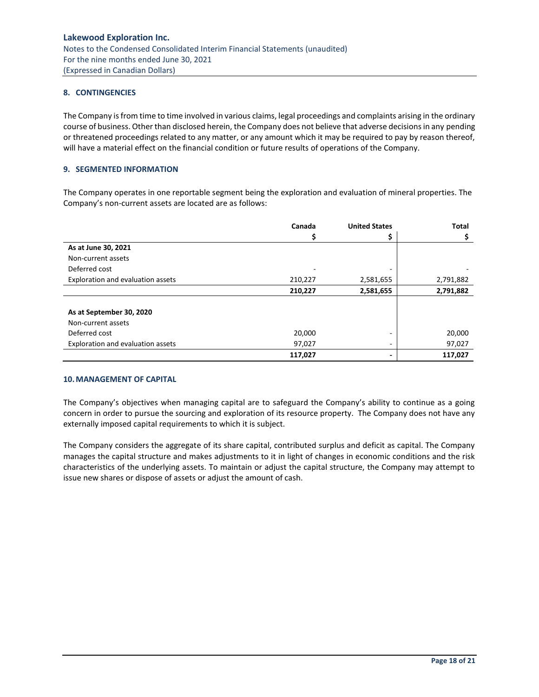# <span id="page-17-0"></span>**8. CONTINGENCIES**

The Company is from time to time involved in various claims, legal proceedings and complaints arising in the ordinary course of business. Other than disclosed herein, the Company does not believe that adverse decisions in any pending or threatened proceedings related to any matter, or any amount which it may be required to pay by reason thereof, will have a material effect on the financial condition or future results of operations of the Company.

# <span id="page-17-1"></span>**9. SEGMENTED INFORMATION**

The Company operates in one reportable segment being the exploration and evaluation of mineral properties. The Company's non-current assets are located are as follows:

|                                   | Canada  | <b>United States</b> | <b>Total</b> |
|-----------------------------------|---------|----------------------|--------------|
|                                   |         |                      |              |
| As at June 30, 2021               |         |                      |              |
| Non-current assets                |         |                      |              |
| Deferred cost                     |         |                      |              |
| Exploration and evaluation assets | 210,227 | 2,581,655            | 2,791,882    |
|                                   | 210,227 | 2,581,655            | 2,791,882    |
| As at September 30, 2020          |         |                      |              |
| Non-current assets                |         |                      |              |
| Deferred cost                     | 20,000  |                      | 20,000       |
| Exploration and evaluation assets | 97,027  | -                    | 97,027       |
|                                   | 117,027 |                      | 117,027      |

#### <span id="page-17-2"></span>**10.MANAGEMENT OF CAPITAL**

The Company's objectives when managing capital are to safeguard the Company's ability to continue as a going concern in order to pursue the sourcing and exploration of its resource property. The Company does not have any externally imposed capital requirements to which it is subject.

The Company considers the aggregate of its share capital, contributed surplus and deficit as capital. The Company manages the capital structure and makes adjustments to it in light of changes in economic conditions and the risk characteristics of the underlying assets. To maintain or adjust the capital structure, the Company may attempt to issue new shares or dispose of assets or adjust the amount of cash.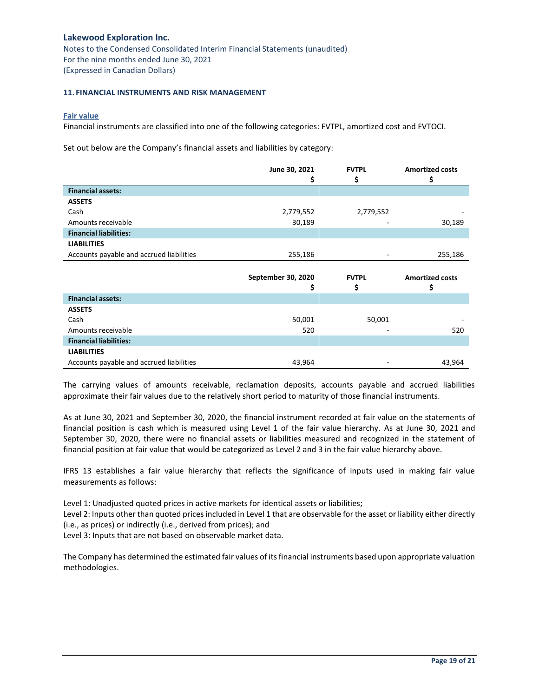#### <span id="page-18-0"></span>**11. FINANCIAL INSTRUMENTS AND RISK MANAGEMENT**

#### **Fair value**

Financial instruments are classified into one of the following categories: FVTPL, amortized cost and FVTOCI.

Set out below are the Company's financial assets and liabilities by category:

|                                          | June 30, 2021 | <b>FVTPL</b> | <b>Amortized costs</b> |
|------------------------------------------|---------------|--------------|------------------------|
|                                          |               |              |                        |
| <b>Financial assets:</b>                 |               |              |                        |
| <b>ASSETS</b>                            |               |              |                        |
| Cash                                     | 2,779,552     | 2,779,552    |                        |
| Amounts receivable                       | 30,189        |              | 30,189                 |
| <b>Financial liabilities:</b>            |               |              |                        |
| <b>LIABILITIES</b>                       |               |              |                        |
| Accounts payable and accrued liabilities | 255,186       |              | 255,186                |

|                                          | September 30, 2020 | <b>FVTPL</b> | <b>Amortized costs</b> |
|------------------------------------------|--------------------|--------------|------------------------|
| <b>Financial assets:</b>                 |                    |              |                        |
| <b>ASSETS</b>                            |                    |              |                        |
| Cash                                     | 50,001             | 50,001       |                        |
| Amounts receivable                       | 520                |              | 520                    |
| <b>Financial liabilities:</b>            |                    |              |                        |
| <b>LIABILITIES</b>                       |                    |              |                        |
| Accounts payable and accrued liabilities | 43,964             |              | 43,964                 |

The carrying values of amounts receivable, reclamation deposits, accounts payable and accrued liabilities approximate their fair values due to the relatively short period to maturity of those financial instruments.

As at June 30, 2021 and September 30, 2020, the financial instrument recorded at fair value on the statements of financial position is cash which is measured using Level 1 of the fair value hierarchy. As at June 30, 2021 and September 30, 2020, there were no financial assets or liabilities measured and recognized in the statement of financial position at fair value that would be categorized as Level 2 and 3 in the fair value hierarchy above.

IFRS 13 establishes a fair value hierarchy that reflects the significance of inputs used in making fair value measurements as follows:

Level 1: Unadjusted quoted prices in active markets for identical assets or liabilities;

Level 2: Inputs other than quoted prices included in Level 1 that are observable for the asset or liability either directly (i.e., as prices) or indirectly (i.e., derived from prices); and

Level 3: Inputs that are not based on observable market data.

The Company has determined the estimated fair values of its financial instruments based upon appropriate valuation methodologies.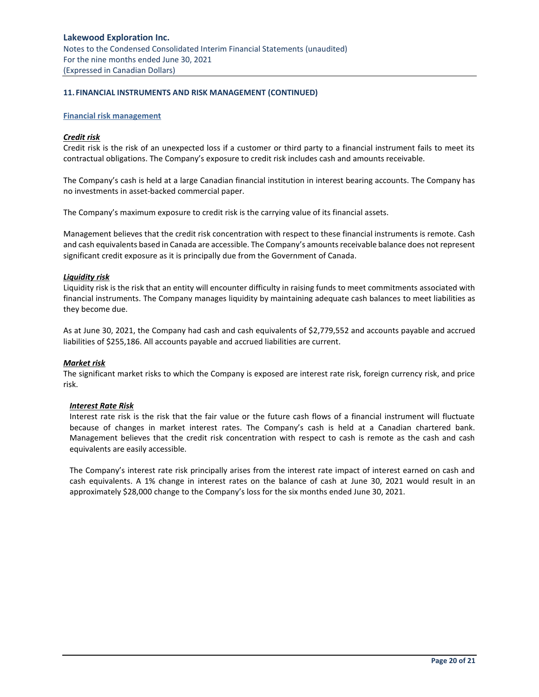# **11. FINANCIAL INSTRUMENTS AND RISK MANAGEMENT (CONTINUED)**

#### **Financial risk management**

#### *Credit risk*

Credit risk is the risk of an unexpected loss if a customer or third party to a financial instrument fails to meet its contractual obligations. The Company's exposure to credit risk includes cash and amounts receivable.

The Company's cash is held at a large Canadian financial institution in interest bearing accounts. The Company has no investments in asset-backed commercial paper.

The Company's maximum exposure to credit risk is the carrying value of its financial assets.

Management believes that the credit risk concentration with respect to these financial instruments is remote. Cash and cash equivalents based in Canada are accessible. The Company's amounts receivable balance does not represent significant credit exposure as it is principally due from the Government of Canada.

#### *Liquidity risk*

Liquidity risk is the risk that an entity will encounter difficulty in raising funds to meet commitments associated with financial instruments. The Company manages liquidity by maintaining adequate cash balances to meet liabilities as they become due.

As at June 30, 2021, the Company had cash and cash equivalents of \$2,779,552 and accounts payable and accrued liabilities of \$255,186. All accounts payable and accrued liabilities are current.

## *Market risk*

The significant market risks to which the Company is exposed are interest rate risk, foreign currency risk, and price risk.

## *Interest Rate Risk*

Interest rate risk is the risk that the fair value or the future cash flows of a financial instrument will fluctuate because of changes in market interest rates. The Company's cash is held at a Canadian chartered bank. Management believes that the credit risk concentration with respect to cash is remote as the cash and cash equivalents are easily accessible.

The Company's interest rate risk principally arises from the interest rate impact of interest earned on cash and cash equivalents. A 1% change in interest rates on the balance of cash at June 30, 2021 would result in an approximately \$28,000 change to the Company's loss for the six months ended June 30, 2021.